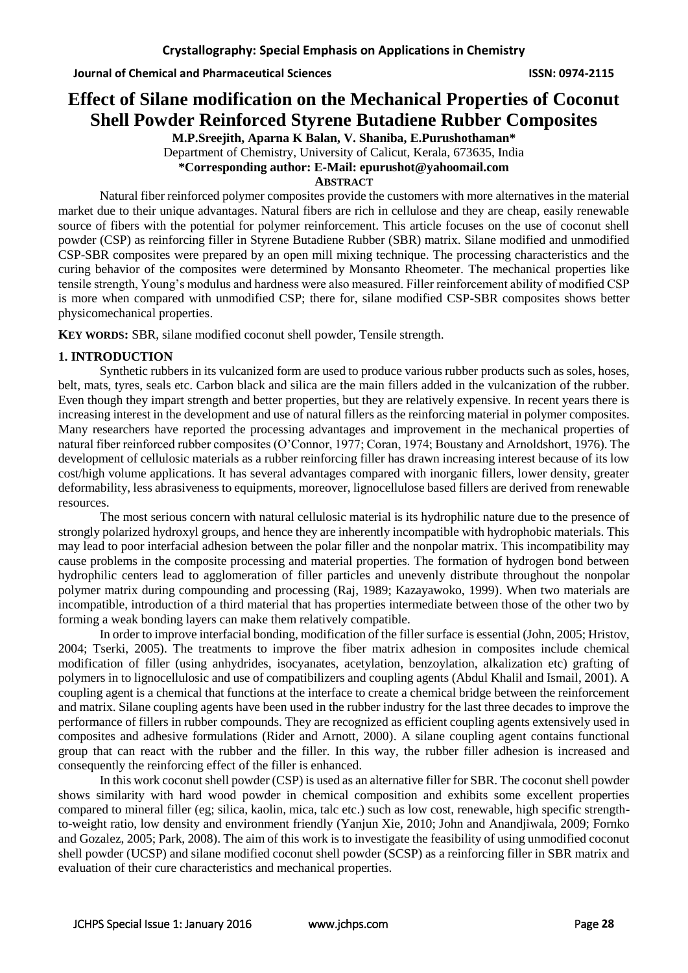# **Effect of Silane modification on the Mechanical Properties of Coconut Shell Powder Reinforced Styrene Butadiene Rubber Composites**

**M.P.Sreejith, Aparna K Balan, V. Shaniba, E.Purushothaman\*** Department of Chemistry, University of Calicut, Kerala, 673635, India **\*Corresponding author: E-Mail: epurushot@yahoomail.com** 

### **ABSTRACT**

Natural fiber reinforced polymer composites provide the customers with more alternatives in the material market due to their unique advantages. Natural fibers are rich in cellulose and they are cheap, easily renewable source of fibers with the potential for polymer reinforcement. This article focuses on the use of coconut shell powder (CSP) as reinforcing filler in Styrene Butadiene Rubber (SBR) matrix. Silane modified and unmodified CSP-SBR composites were prepared by an open mill mixing technique. The processing characteristics and the curing behavior of the composites were determined by Monsanto Rheometer. The mechanical properties like tensile strength, Young's modulus and hardness were also measured. Filler reinforcement ability of modified CSP is more when compared with unmodified CSP; there for, silane modified CSP-SBR composites shows better physicomechanical properties.

**KEY WORDS:** SBR, silane modified coconut shell powder, Tensile strength.

## **1. INTRODUCTION**

Synthetic rubbers in its vulcanized form are used to produce various rubber products such as soles, hoses, belt, mats, tyres, seals etc. Carbon black and silica are the main fillers added in the vulcanization of the rubber. Even though they impart strength and better properties, but they are relatively expensive. In recent years there is increasing interest in the development and use of natural fillers as the reinforcing material in polymer composites. Many researchers have reported the processing advantages and improvement in the mechanical properties of natural fiber reinforced rubber composites (O'Connor, 1977; Coran, 1974; Boustany and Arnoldshort, 1976). The development of cellulosic materials as a rubber reinforcing filler has drawn increasing interest because of its low cost/high volume applications. It has several advantages compared with inorganic fillers, lower density, greater deformability, less abrasiveness to equipments, moreover, lignocellulose based fillers are derived from renewable resources.

The most serious concern with natural cellulosic material is its hydrophilic nature due to the presence of strongly polarized hydroxyl groups, and hence they are inherently incompatible with hydrophobic materials. This may lead to poor interfacial adhesion between the polar filler and the nonpolar matrix. This incompatibility may cause problems in the composite processing and material properties. The formation of hydrogen bond between hydrophilic centers lead to agglomeration of filler particles and unevenly distribute throughout the nonpolar polymer matrix during compounding and processing (Raj, 1989; Kazayawoko, 1999). When two materials are incompatible, introduction of a third material that has properties intermediate between those of the other two by forming a weak bonding layers can make them relatively compatible.

In order to improve interfacial bonding, modification of the filler surface is essential (John, 2005; Hristov, 2004; Tserki, 2005). The treatments to improve the fiber matrix adhesion in composites include chemical modification of filler (using anhydrides, isocyanates, acetylation, benzoylation, alkalization etc) grafting of polymers in to lignocellulosic and use of compatibilizers and coupling agents (Abdul Khalil and Ismail, 2001). A coupling agent is a chemical that functions at the interface to create a chemical bridge between the reinforcement and matrix. Silane coupling agents have been used in the rubber industry for the last three decades to improve the performance of fillers in rubber compounds. They are recognized as efficient coupling agents extensively used in composites and adhesive formulations (Rider and Arnott, 2000). A silane coupling agent contains functional group that can react with the rubber and the filler. In this way, the rubber filler adhesion is increased and consequently the reinforcing effect of the filler is enhanced.

In this work coconut shell powder (CSP) is used as an alternative filler for SBR. The coconut shell powder shows similarity with hard wood powder in chemical composition and exhibits some excellent properties compared to mineral filler (eg; silica, kaolin, mica, talc etc.) such as low cost, renewable, high specific strengthto-weight ratio, low density and environment friendly (Yanjun Xie, 2010; John and Anandjiwala, 2009; Fornko and Gozalez, 2005; Park, 2008). The aim of this work is to investigate the feasibility of using unmodified coconut shell powder (UCSP) and silane modified coconut shell powder (SCSP) as a reinforcing filler in SBR matrix and evaluation of their cure characteristics and mechanical properties.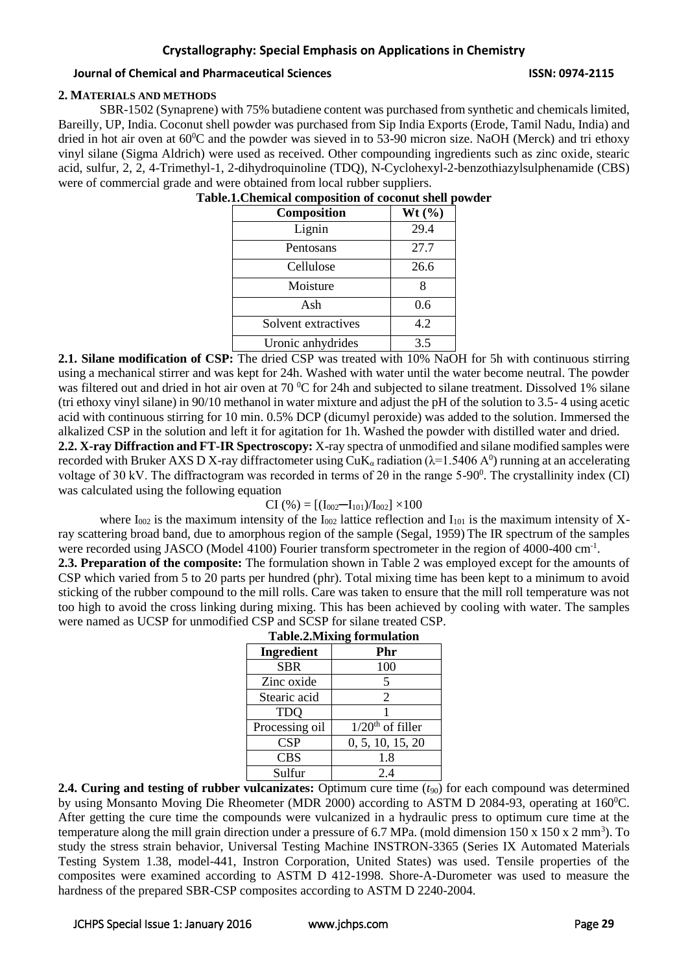### **2. MATERIALS AND METHODS**

SBR-1502 (Synaprene) with 75% butadiene content was purchased from synthetic and chemicals limited, Bareilly, UP, India. Coconut shell powder was purchased from Sip India Exports (Erode, Tamil Nadu, India) and dried in hot air oven at  $60^{\circ}$ C and the powder was sieved in to 53-90 micron size. NaOH (Merck) and tri ethoxy vinyl silane (Sigma Aldrich) were used as received. Other compounding ingredients such as zinc oxide, stearic acid, sulfur, 2, 2, 4-Trimethyl-1, 2-dihydroquinoline (TDQ), N-Cyclohexyl-2-benzothiazylsulphenamide (CBS) were of commercial grade and were obtained from local rubber suppliers.

| Composition          | Wt $(\%)$ |  |  |  |
|----------------------|-----------|--|--|--|
| Lignin               | 29.4      |  |  |  |
| Pentosans            | 27.7      |  |  |  |
| Cellulose            | 26.6      |  |  |  |
| Moisture             |           |  |  |  |
| Ash                  | 0.6       |  |  |  |
| Solvent extractives  | 4.2       |  |  |  |
| Uronic anhydrides    | 3.5       |  |  |  |
| $\mathbf{M}$<br>100' |           |  |  |  |

**Table.1.Chemical composition of coconut shell powder**

**2.1. Silane modification of CSP:** The dried CSP was treated with 10% NaOH for 5h with continuous stirring using a mechanical stirrer and was kept for 24h. Washed with water until the water become neutral. The powder was filtered out and dried in hot air oven at 70 °C for 24h and subjected to silane treatment. Dissolved 1% silane (tri ethoxy vinyl silane) in 90/10 methanol in water mixture and adjust the pH of the solution to 3.5- 4 using acetic acid with continuous stirring for 10 min. 0.5% DCP (dicumyl peroxide) was added to the solution. Immersed the alkalized CSP in the solution and left it for agitation for 1h. Washed the powder with distilled water and dried. **2.2. X-ray Diffraction and FT-IR Spectroscopy:** X-ray spectra of unmodified and silane modified samples were

recorded with Bruker AXS D X-ray diffractometer using CuK<sub>a</sub> radiation ( $\lambda$ =1.5406 A<sup>0</sup>) running at an accelerating voltage of 30 kV. The diffractogram was recorded in terms of 2 $\theta$  in the range 5-90<sup>0</sup>. The crystallinity index (CI) was calculated using the following equation

$$
CI (%) = [(I_{002} - I_{101})/I_{002}] \times 100
$$

where  $I_{002}$  is the maximum intensity of the  $I_{002}$  lattice reflection and  $I_{101}$  is the maximum intensity of Xray scattering broad band, due to amorphous region of the sample (Segal, 1959) The IR spectrum of the samples were recorded using JASCO (Model 4100) Fourier transform spectrometer in the region of 4000-400 cm<sup>-1</sup>.

**2.3. Preparation of the composite:** The formulation shown in Table 2 was employed except for the amounts of CSP which varied from 5 to 20 parts per hundred (phr). Total mixing time has been kept to a minimum to avoid sticking of the rubber compound to the mill rolls. Care was taken to ensure that the mill roll temperature was not too high to avoid the cross linking during mixing. This has been achieved by cooling with water. The samples were named as UCSP for unmodified CSP and SCSP for silane treated CSP.

| <b>Table.2.Mixing formulation</b> |                    |  |  |
|-----------------------------------|--------------------|--|--|
| <b>Ingredient</b>                 | Phr                |  |  |
| <b>SBR</b>                        | 100                |  |  |
| Zinc oxide                        | 5                  |  |  |
| Stearic acid                      | 2                  |  |  |
| <b>TDO</b>                        |                    |  |  |
| Processing oil                    | $1/20th$ of filler |  |  |
| CSP                               | 0, 5, 10, 15, 20   |  |  |
| <b>CBS</b>                        | 1.8                |  |  |
| Sulfur                            | 2.4                |  |  |

**2.4. Curing and testing of rubber vulcanizates:** Optimum cure time ( $t_{90}$ ) for each compound was determined by using Monsanto Moving Die Rheometer (MDR 2000) according to ASTM D 2084-93, operating at 160°C. After getting the cure time the compounds were vulcanized in a hydraulic press to optimum cure time at the temperature along the mill grain direction under a pressure of 6.7 MPa. (mold dimension  $150 \times 150 \times 2 \text{ mm}^3$ ). To study the stress strain behavior, Universal Testing Machine INSTRON-3365 (Series IX Automated Materials Testing System 1.38, model-441, Instron Corporation, United States) was used. Tensile properties of the composites were examined according to ASTM D 412-1998. Shore-A-Durometer was used to measure the hardness of the prepared SBR-CSP composites according to ASTM D 2240-2004.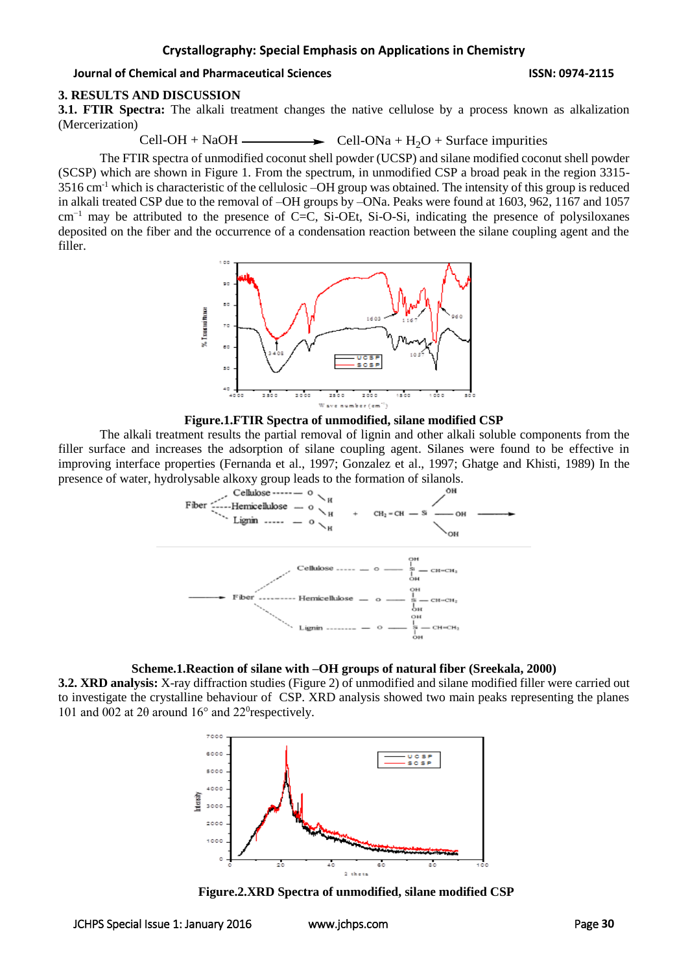### **3. RESULTS AND DISCUSSION**

**3.1. FTIR Spectra:** The alkali treatment changes the native cellulose by a process known as alkalization (Mercerization)

Cell-OH + NaOH  $\longrightarrow$  Cell-ONa + H<sub>2</sub>O + Surface impurities

The FTIR spectra of unmodified coconut shell powder (UCSP) and silane modified coconut shell powder (SCSP) which are shown in Figure 1. From the spectrum, in unmodified CSP a broad peak in the region 3315-  $3516$  cm<sup>-1</sup> which is characteristic of the cellulosic –OH group was obtained. The intensity of this group is reduced in alkali treated CSP due to the removal of –OH groups by –ONa. Peaks were found at 1603, 962, 1167 and 1057 cm−1 may be attributed to the presence of C=C, Si-OEt, Si-O-Si, indicating the presence of polysiloxanes deposited on the fiber and the occurrence of a condensation reaction between the silane coupling agent and the filler.





The alkali treatment results the partial removal of lignin and other alkali soluble components from the filler surface and increases the adsorption of silane coupling agent. Silanes were found to be effective in improving interface properties (Fernanda et al., 1997; Gonzalez et al., 1997; Ghatge and Khisti, 1989) In the



#### **Scheme.1.Reaction of silane with –OH groups of natural fiber (Sreekala, 2000)**

**3.2. XRD analysis:** X-ray diffraction studies (Figure 2) of unmodified and silane modified filler were carried out to investigate the crystalline behaviour of CSP. XRD analysis showed two main peaks representing the planes 101 and 002 at 2θ around 16° and 22<sup>0</sup>respectively.



**Figure.2.XRD Spectra of unmodified, silane modified CSP**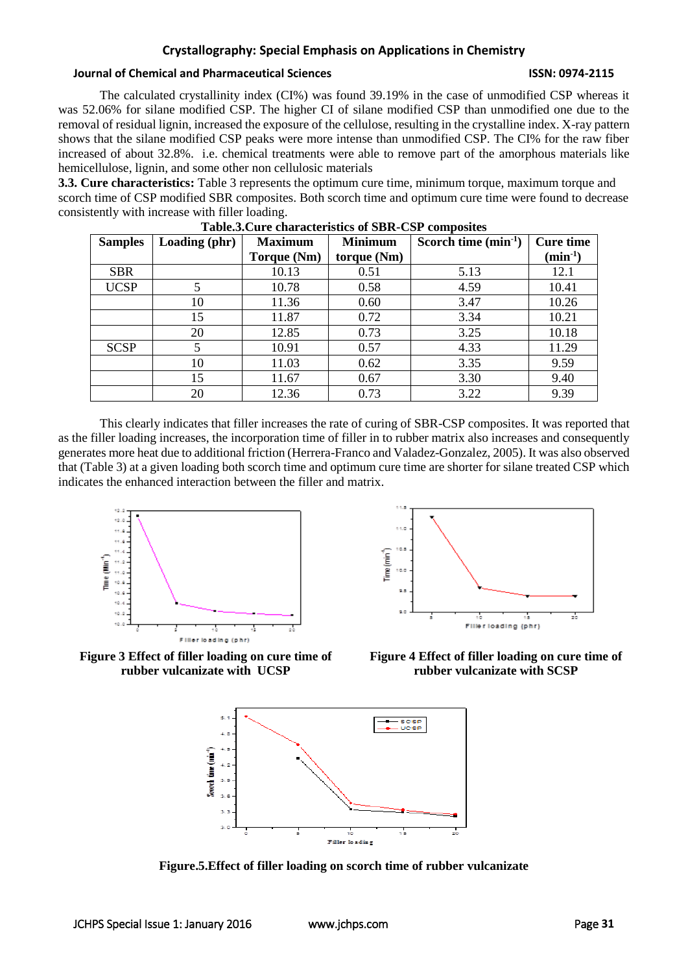The calculated crystallinity index (CI%) was found 39.19% in the case of unmodified CSP whereas it was 52.06% for silane modified CSP. The higher CI of silane modified CSP than unmodified one due to the removal of residual lignin, increased the exposure of the cellulose, resulting in the crystalline index. X-ray pattern shows that the silane modified CSP peaks were more intense than unmodified CSP. The CI% for the raw fiber increased of about 32.8%. i.e. chemical treatments were able to remove part of the amorphous materials like hemicellulose, lignin, and some other non cellulosic materials

**3.3. Cure characteristics:** Table 3 represents the optimum cure time, minimum torque, maximum torque and scorch time of CSP modified SBR composites. Both scorch time and optimum cure time were found to decrease consistently with increase with filler loading.

| <b>Samples</b> | Loading (phr) | <b>Maximum</b> | <b>Minimum</b> | Scorch time $(min^{-1})$ | <b>Cure time</b>           |
|----------------|---------------|----------------|----------------|--------------------------|----------------------------|
|                |               | Torque (Nm)    | torque (Nm)    |                          | $(\text{min}^{\text{-}1})$ |
| <b>SBR</b>     |               | 10.13          | 0.51           | 5.13                     | 12.1                       |
| <b>UCSP</b>    | 5             | 10.78          | 0.58           | 4.59                     | 10.41                      |
|                | 10            | 11.36          | 0.60           | 3.47                     | 10.26                      |
|                | 15            | 11.87          | 0.72           | 3.34                     | 10.21                      |
|                | 20            | 12.85          | 0.73           | 3.25                     | 10.18                      |
| <b>SCSP</b>    | 5             | 10.91          | 0.57           | 4.33                     | 11.29                      |
|                | 10            | 11.03          | 0.62           | 3.35                     | 9.59                       |
|                | 15            | 11.67          | 0.67           | 3.30                     | 9.40                       |
|                | 20            | 12.36          | 0.73           | 3.22                     | 9.39                       |

| Table.3. Cure characteristics of SBR-CSP composites |  |  |
|-----------------------------------------------------|--|--|
|-----------------------------------------------------|--|--|

This clearly indicates that filler increases the rate of curing of SBR-CSP composites. It was reported that as the filler loading increases, the incorporation time of filler in to rubber matrix also increases and consequently generates more heat due to additional friction (Herrera-Franco and Valadez-Gonzalez, 2005). It was also observed that (Table 3) at a given loading both scorch time and optimum cure time are shorter for silane treated CSP which indicates the enhanced interaction between the filler and matrix.



Time (min<sup>4</sup> д 56 Filler loading (phr)

**Figure 3 Effect of filler loading on cure time of rubber vulcanizate with UCSP**





**Figure.5.Effect of filler loading on scorch time of rubber vulcanizate**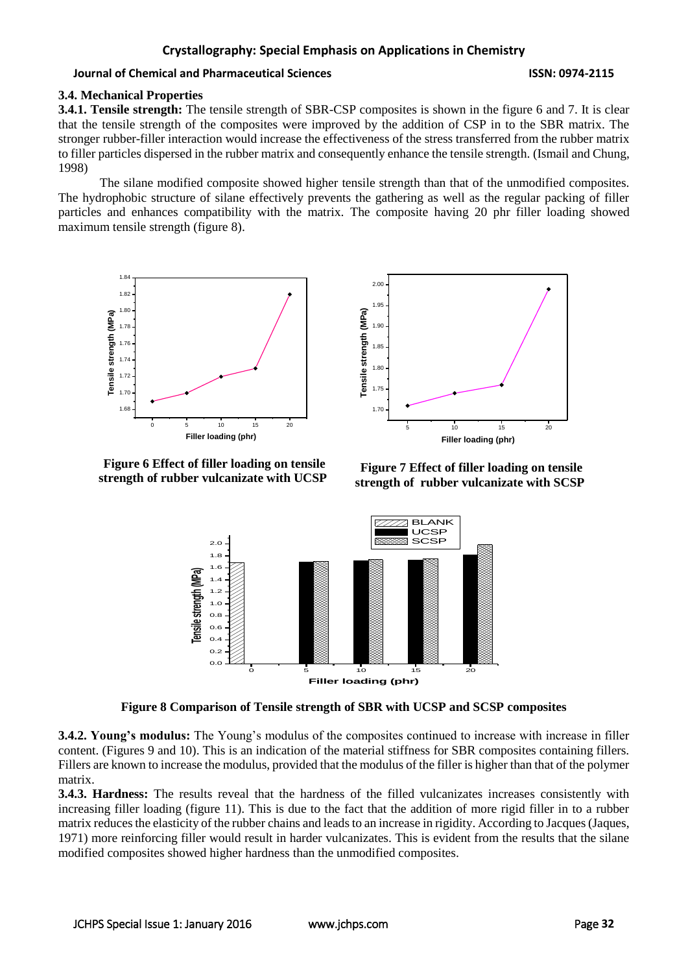### **3.4. Mechanical Properties**

**3.4.1. Tensile strength:** The tensile strength of SBR-CSP composites is shown in the figure 6 and 7. It is clear that the tensile strength of the composites were improved by the addition of CSP in to the SBR matrix. The stronger rubber-filler interaction would increase the effectiveness of the stress transferred from the rubber matrix to filler particles dispersed in the rubber matrix and consequently enhance the tensile strength. (Ismail and Chung, 1998)

The silane modified composite showed higher tensile strength than that of the unmodified composites. The hydrophobic structure of silane effectively prevents the gathering as well as the regular packing of filler particles and enhances compatibility with the matrix. The composite having 20 phr filler loading showed maximum tensile strength (figure 8).





**Figure 6 Effect of filler loading on tensile strength of rubber vulcanizate with UCSP**

**Figure 7 Effect of filler loading on tensile strength of rubber vulcanizate with SCSP**



**Figure 8 Comparison of Tensile strength of SBR with UCSP and SCSP composites**

**3.4.2. Young's modulus:** The Young's modulus of the composites continued to increase with increase in filler content. (Figures 9 and 10). This is an indication of the material stiffness for SBR composites containing fillers. Fillers are known to increase the modulus, provided that the modulus of the filler is higher than that of the polymer matrix.

**3.4.3. Hardness:** The results reveal that the hardness of the filled vulcanizates increases consistently with increasing filler loading (figure 11). This is due to the fact that the addition of more rigid filler in to a rubber matrix reduces the elasticity of the rubber chains and leads to an increase in rigidity. According to Jacques (Jaques, 1971) more reinforcing filler would result in harder vulcanizates. This is evident from the results that the silane modified composites showed higher hardness than the unmodified composites.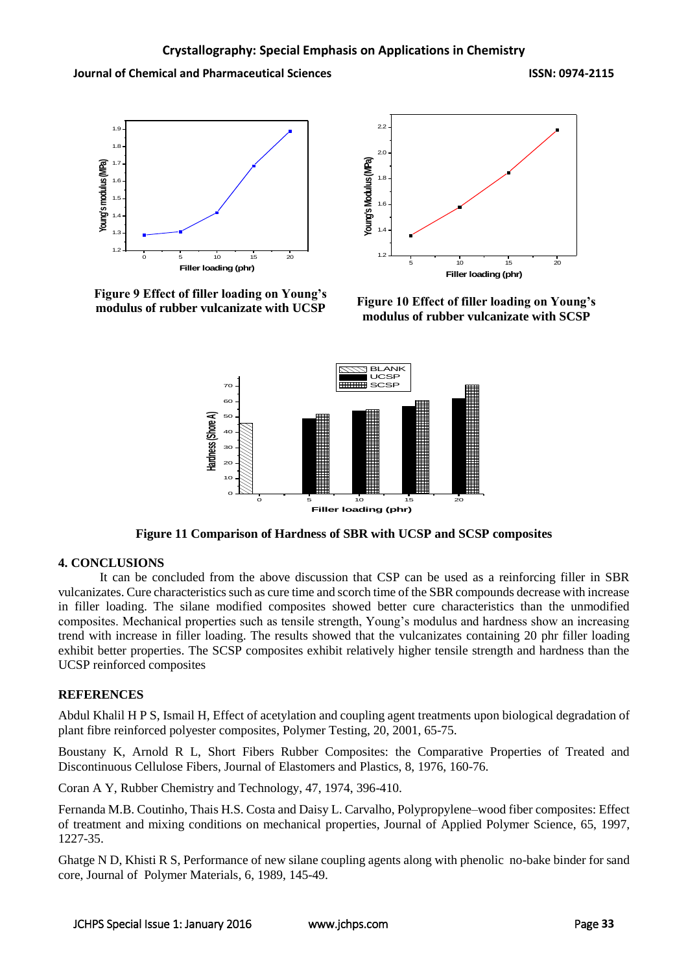



**Figure 9 Effect of filler loading on Young's modulus of rubber vulcanizate with UCSP**

**Figure 10 Effect of filler loading on Young's modulus of rubber vulcanizate with SCSP**



**Figure 11 Comparison of Hardness of SBR with UCSP and SCSP composites**

# **4. CONCLUSIONS**

It can be concluded from the above discussion that CSP can be used as a reinforcing filler in SBR vulcanizates. Cure characteristics such as cure time and scorch time of the SBR compounds decrease with increase in filler loading. The silane modified composites showed better cure characteristics than the unmodified composites. Mechanical properties such as tensile strength, Young's modulus and hardness show an increasing trend with increase in filler loading. The results showed that the vulcanizates containing 20 phr filler loading exhibit better properties. The SCSP composites exhibit relatively higher tensile strength and hardness than the UCSP reinforced composites

# **REFERENCES**

[Abdul Khalil](http://www.sciencedirect.com/science/article/pii/S014294189900080X) H P S, [Ismail](http://www.sciencedirect.com/science/article/pii/S014294189900080X) H, Effect of acetylation and coupling agent treatments upon biological degradation of plant fibre reinforced polyester composites, Polymer Testing, 20, 2001, 65-75.

Boustany K, Arnold R L, Short Fibers Rubber Composites: the Comparative Properties of Treated and Discontinuous Cellulose Fibers, Journal of Elastomers and Plastics, 8, 1976, 160-76.

Coran A Y, Rubber Chemistry and Technology, 47, 1974, 396-410.

Fernanda M.B. Coutinho, Thais H.S. Costa and Daisy L. Carvalho, Polypropylene–wood fiber composites: Effect of treatment and mixing conditions on mechanical properties, Journal of Applied Polymer Science, 65, 1997, 1227-35.

Ghatge N D, Khisti R S, Performance of new silane coupling agents along with phenolic no-bake binder for sand core, Journal of Polymer Materials, 6, 1989, 145-49.